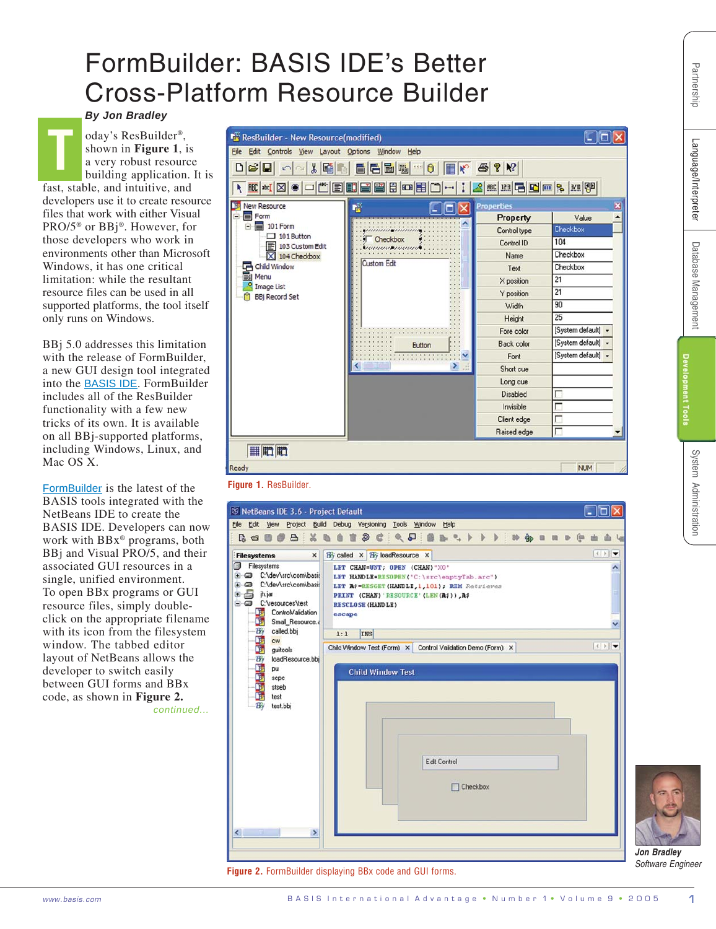## FormBuilder: BASIS IDE's Better Cross-Platform Resource Builder

*By Jon Bradley*

oday's ResBuilder®, shown in **Figure 1**, is a very robust resource building application. It is fast, stable, and intuitive, and developers use it to create resource files that work with either Visual PRO/5® or BBj®. However, for those developers who work in environments other than Microsoft Windows, it has one critical limitation: while the resultant resource files can be used in all supported platforms, the tool itself only runs on Windows. **T**

BBj 5.0 addresses this limitation with the release of FormBuilder, a new GUI design tool integrated into the [BASIS IDE](http://www.basis.com/onlinedocs/documentation/index.htm#<id=12124). FormBuilder includes all of the ResBuilder functionality with a few new tricks of its own. It is available on all BBj-supported platforms, including Windows, Linux, and Mac OS X.

*continued...* [FormBuilde](http://www.basis.com/onlinedocs/documentation/whcsh_home.htm#id=31501)r is the latest of the BASIS tools integrated with the NetBeans IDE to create the BASIS IDE. Developers can now work with BBx® programs, both BBj and Visual PRO/5, and their associated GUI resources in a single, unified environment. To open BBx programs or GUI resource files, simply doubleclick on the appropriate filename with its icon from the filesystem window. The tabbed editor layout of NetBeans allows the developer to switch easily between GUI forms and BBx code, as shown in **Figure 2.**



## **Figure 1.** ResBuilder.



**Figure 2.** FormBuilder displaying BBx code and GUI forms.

*Jon Bradley Software Engineer*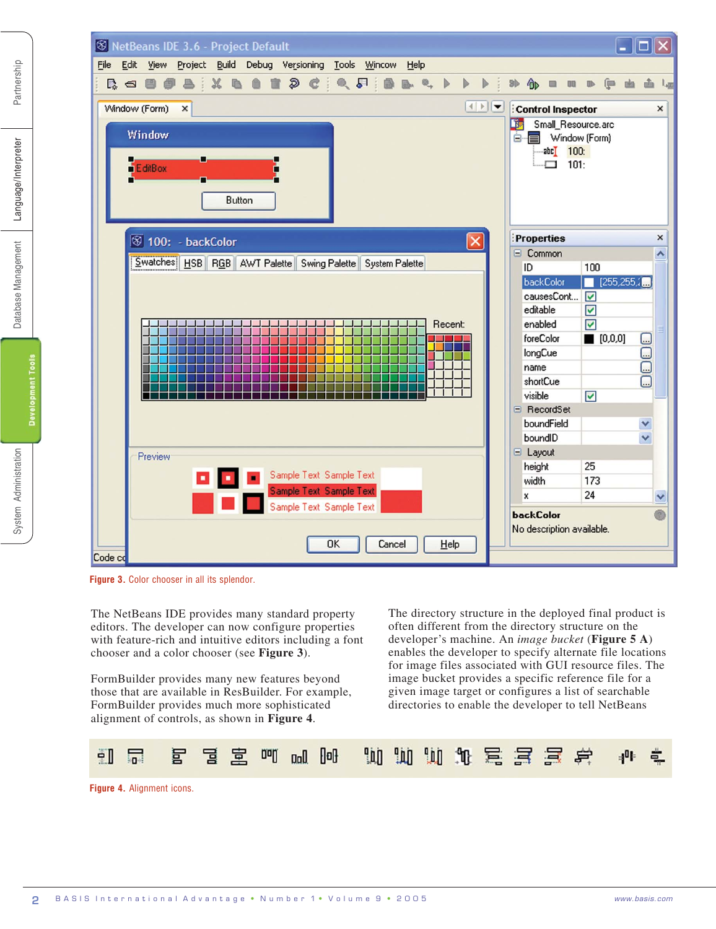

**Figure 3.** Color chooser in all its splendor.

The NetBeans IDE provides many standard property editors. The developer can now configure properties with feature-rich and intuitive editors including a font chooser and a color chooser (see **Figure 3**).

FormBuilder provides many new features beyond those that are available in ResBuilder. For example, FormBuilder provides much more sophisticated alignment of controls, as shown in **Figure 4**.

The directory structure in the deployed final product is often different from the directory structure on the developer's machine. An *image bucket* (**Figure 5 A**) enables the developer to specify alternate file locations for image files associated with GUI resource files. The image bucket provides a specific reference file for a given image target or configures a list of searchable directories to enable the developer to tell NetBeans



**Figure 4.** Alignment icons.